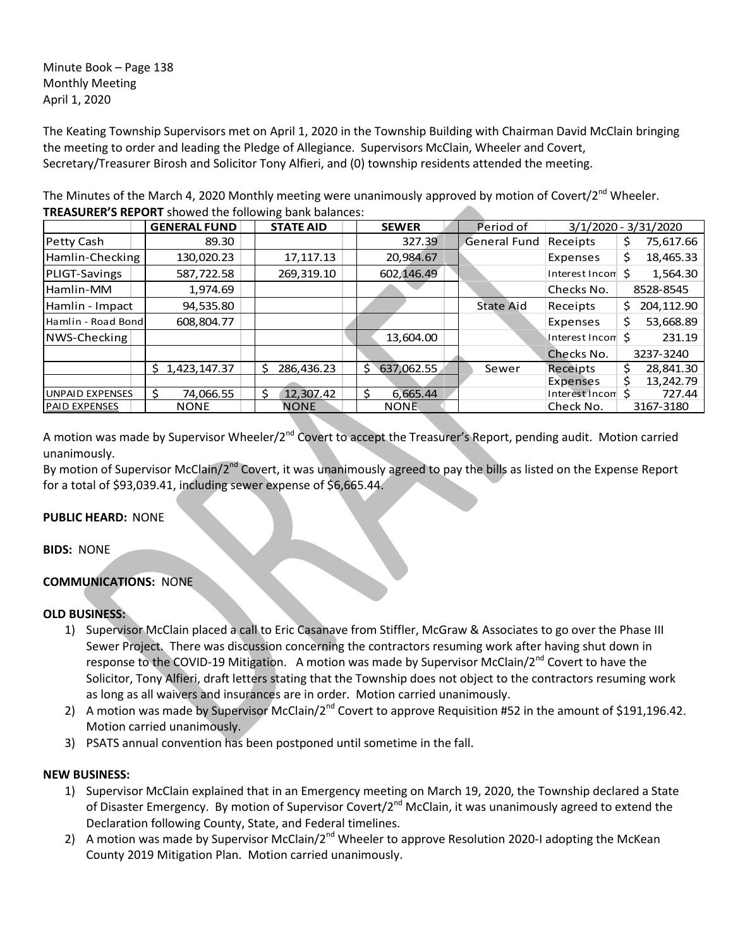Minute Book – Page 138 Monthly Meeting April 1, 2020

The Keating Township Supervisors met on April 1, 2020 in the Township Building with Chairman David McClain bringing the meeting to order and leading the Pledge of Allegiance. Supervisors McClain, Wheeler and Covert, Secretary/Treasurer Birosh and Solicitor Tony Alfieri, and (0) township residents attended the meeting.

The Minutes of the March 4, 2020 Monthly meeting were unanimously approved by motion of Covert/2<sup>nd</sup> Wheeler. **TREASURER'S REPORT** showed the following bank balances:

|                        | <b>GENERAL FUND</b> | <b>STATE AID</b> | <b>SEWER</b>               | Period of           |                             | $3/1/2020 - 3/31/2020$ |
|------------------------|---------------------|------------------|----------------------------|---------------------|-----------------------------|------------------------|
| Petty Cash             | 89.30               |                  | 327.39                     | <b>General Fund</b> | Receipts                    | 75,617.66<br>S         |
| Hamlin-Checking        | 130,020.23          | 17, 117. 13      | 20,984.67                  |                     | Expenses                    | 18,465.33<br>\$        |
| PLIGT-Savings          | 587,722.58          | 269,319.10       | 602,146.49                 |                     | Interest Incom <sup>5</sup> | 1,564.30               |
| Hamlin-MM              | 1,974.69            |                  |                            |                     | Checks No.                  | 8528-8545              |
| Hamlin - Impact        | 94,535.80           |                  |                            | <b>State Aid</b>    | Receipts                    | 204,112.90<br>\$.      |
| Hamlin - Road Bond     | 608.804.77          |                  |                            |                     | Expenses                    | 53,668.89<br>Ś         |
| NWS-Checking           |                     |                  | 13,604.00                  |                     | Interest Incom <sup>5</sup> | 231.19                 |
|                        |                     |                  |                            |                     | Checks No.                  | 3237-3240              |
|                        | 1.423.147.37<br>Ś.  | 286.436.23<br>S  | $\mathsf{S}$<br>637.062.55 | Sewer               | Receipts                    | 28.841.30              |
|                        |                     |                  |                            |                     | Expenses                    | 13,242.79              |
| <b>UNPAID EXPENSES</b> | 74,066.55           | 12,307.42        | 6,665.44<br>Ŝ              |                     | Interest Incon              | 727.44                 |
| <b>PAID EXPENSES</b>   | <b>NONE</b>         | <b>NONE</b>      | <b>NONE</b>                |                     | Check No.                   | 3167-3180              |

A motion was made by Supervisor Wheeler/2<sup>nd</sup> Covert to accept the Treasurer's Report, pending audit. Motion carried unanimously.

By motion of Supervisor McClain/2<sup>nd</sup> Covert, it was unanimously agreed to pay the bills as listed on the Expense Report for a total of \$93,039.41, including sewer expense of \$6,665.44.

## **PUBLIC HEARD:** NONE

**BIDS:** NONE

## **COMMUNICATIONS:** NONE

## **OLD BUSINESS:**

- 1) Supervisor McClain placed a call to Eric Casanave from Stiffler, McGraw & Associates to go over the Phase III Sewer Project. There was discussion concerning the contractors resuming work after having shut down in response to the COVID-19 Mitigation. A motion was made by Supervisor McClain/2<sup>nd</sup> Covert to have the Solicitor, Tony Alfieri, draft letters stating that the Township does not object to the contractors resuming work as long as all waivers and insurances are in order. Motion carried unanimously.
- 2) A motion was made by Supervisor McClain/2<sup>nd</sup> Covert to approve Requisition #52 in the amount of \$191,196.42. Motion carried unanimously.
- 3) PSATS annual convention has been postponed until sometime in the fall.

## **NEW BUSINESS:**

- 1) Supervisor McClain explained that in an Emergency meeting on March 19, 2020, the Township declared a State of Disaster Emergency. By motion of Supervisor Covert/2<sup>nd</sup> McClain, it was unanimously agreed to extend the Declaration following County, State, and Federal timelines.
- 2) A motion was made by Supervisor McClain/2<sup>nd</sup> Wheeler to approve Resolution 2020-I adopting the McKean County 2019 Mitigation Plan. Motion carried unanimously.